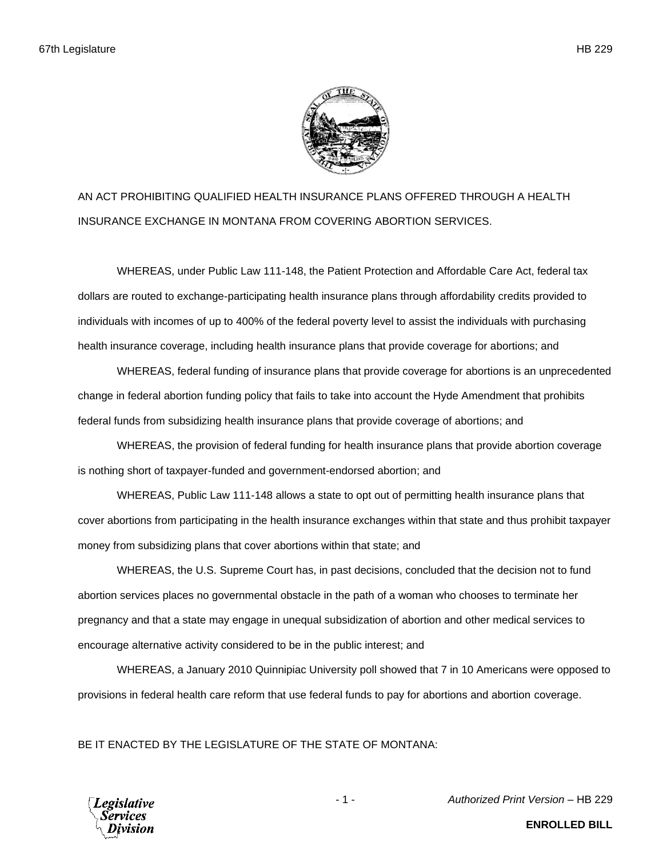

AN ACT PROHIBITING QUALIFIED HEALTH INSURANCE PLANS OFFERED THROUGH A HEALTH INSURANCE EXCHANGE IN MONTANA FROM COVERING ABORTION SERVICES.

WHEREAS, under Public Law 111-148, the Patient Protection and Affordable Care Act, federal tax dollars are routed to exchange-participating health insurance plans through affordability credits provided to individuals with incomes of up to 400% of the federal poverty level to assist the individuals with purchasing health insurance coverage, including health insurance plans that provide coverage for abortions; and

WHEREAS, federal funding of insurance plans that provide coverage for abortions is an unprecedented change in federal abortion funding policy that fails to take into account the Hyde Amendment that prohibits federal funds from subsidizing health insurance plans that provide coverage of abortions; and

WHEREAS, the provision of federal funding for health insurance plans that provide abortion coverage is nothing short of taxpayer-funded and government-endorsed abortion; and

WHEREAS, Public Law 111-148 allows a state to opt out of permitting health insurance plans that cover abortions from participating in the health insurance exchanges within that state and thus prohibit taxpayer money from subsidizing plans that cover abortions within that state; and

WHEREAS, the U.S. Supreme Court has, in past decisions, concluded that the decision not to fund abortion services places no governmental obstacle in the path of a woman who chooses to terminate her pregnancy and that a state may engage in unequal subsidization of abortion and other medical services to encourage alternative activity considered to be in the public interest; and

WHEREAS, a January 2010 Quinnipiac University poll showed that 7 in 10 Americans were opposed to provisions in federal health care reform that use federal funds to pay for abortions and abortion coverage.

BE IT ENACTED BY THE LEGISLATURE OF THE STATE OF MONTANA:



- 1 - *Authorized Print Version* – HB 229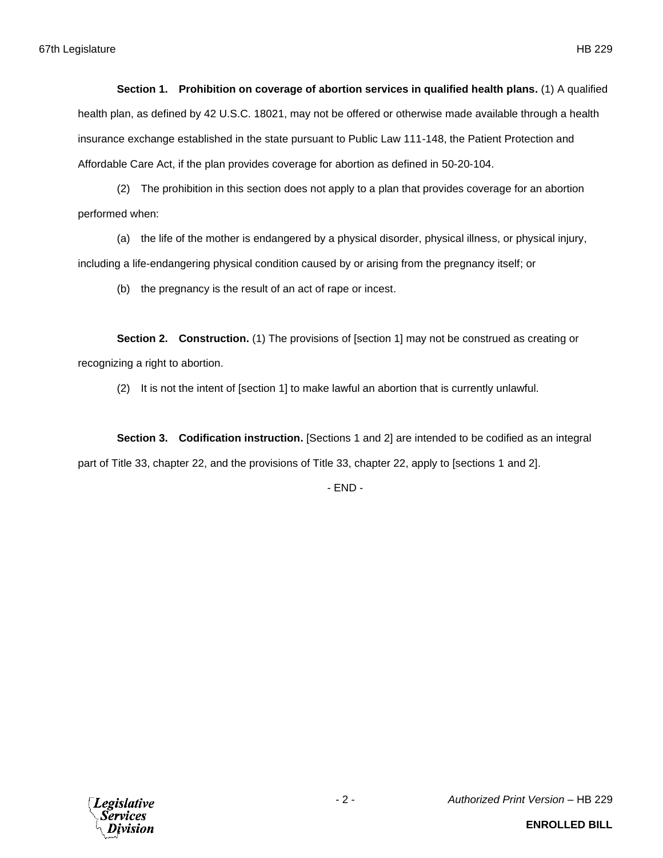**Section 1. Prohibition on coverage of abortion services in qualified health plans.** (1) A qualified health plan, as defined by 42 U.S.C. 18021, may not be offered or otherwise made available through a health insurance exchange established in the state pursuant to Public Law 111-148, the Patient Protection and Affordable Care Act, if the plan provides coverage for abortion as defined in 50-20-104.

(2) The prohibition in this section does not apply to a plan that provides coverage for an abortion performed when:

(a) the life of the mother is endangered by a physical disorder, physical illness, or physical injury, including a life-endangering physical condition caused by or arising from the pregnancy itself; or

(b) the pregnancy is the result of an act of rape or incest.

**Section 2. Construction.** (1) The provisions of [section 1] may not be construed as creating or recognizing a right to abortion.

(2) It is not the intent of [section 1] to make lawful an abortion that is currently unlawful.

**Section 3. Codification instruction.** [Sections 1 and 2] are intended to be codified as an integral part of Title 33, chapter 22, and the provisions of Title 33, chapter 22, apply to [sections 1 and 2].

- END -

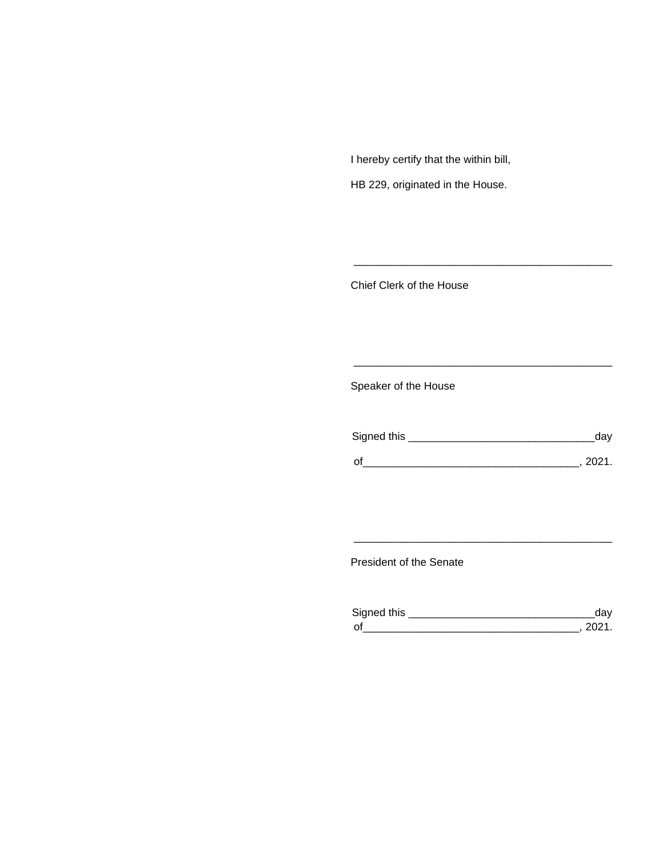I hereby certify that the within bill,

HB 229, originated in the House.

Chief Clerk of the House

Speaker of the House

| Signed this | dav    |
|-------------|--------|
| $\Omega$    | - 2021 |

\_\_\_\_\_\_\_\_\_\_\_\_\_\_\_\_\_\_\_\_\_\_\_\_\_\_\_\_\_\_\_\_\_\_\_\_\_\_\_\_\_\_\_

\_\_\_\_\_\_\_\_\_\_\_\_\_\_\_\_\_\_\_\_\_\_\_\_\_\_\_\_\_\_\_\_\_\_\_\_\_\_\_\_\_\_\_

President of the Senate

| Sianed this |  |
|-------------|--|
| $\Omega$    |  |

\_\_\_\_\_\_\_\_\_\_\_\_\_\_\_\_\_\_\_\_\_\_\_\_\_\_\_\_\_\_\_\_\_\_\_\_\_\_\_\_\_\_\_